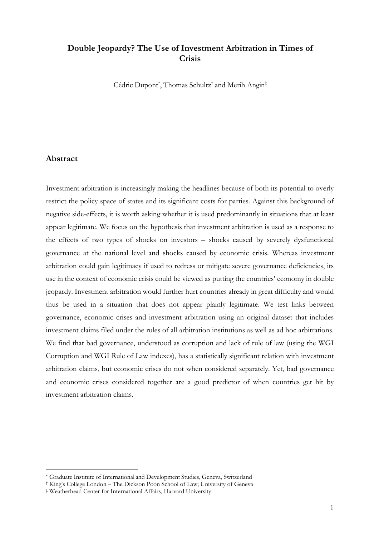# **Double Jeopardy? The Use of Investment Arbitration in Times of Crisis**

Cédric Dupont\* , Thomas Schultz† and Merih Angin‡

## **Abstract**

 $\overline{a}$ 

Investment arbitration is increasingly making the headlines because of both its potential to overly restrict the policy space of states and its significant costs for parties. Against this background of negative side-effects, it is worth asking whether it is used predominantly in situations that at least appear legitimate. We focus on the hypothesis that investment arbitration is used as a response to the effects of two types of shocks on investors – shocks caused by severely dysfunctional governance at the national level and shocks caused by economic crisis. Whereas investment arbitration could gain legitimacy if used to redress or mitigate severe governance deficiencies, its use in the context of economic crisis could be viewed as putting the countries' economy in double jeopardy. Investment arbitration would further hurt countries already in great difficulty and would thus be used in a situation that does not appear plainly legitimate. We test links between governance, economic crises and investment arbitration using an original dataset that includes investment claims filed under the rules of all arbitration institutions as well as ad hoc arbitrations. We find that bad governance, understood as corruption and lack of rule of law (using the WGI Corruption and WGI Rule of Law indexes), has a statistically significant relation with investment arbitration claims, but economic crises do not when considered separately. Yet, bad governance and economic crises considered together are a good predictor of when countries get hit by investment arbitration claims.

<sup>\*</sup> Graduate Institute of International and Development Studies, Geneva, Switzerland

<sup>†</sup> King's College London – The Dickson Poon School of Law; University of Geneva

<sup>‡</sup> Weatherhead Center for International Affairs, Harvard University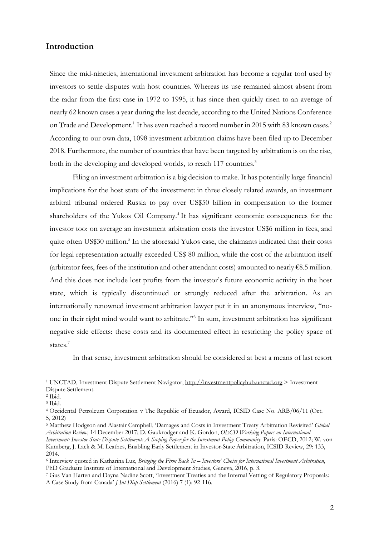# **Introduction**

Since the mid-nineties, international investment arbitration has become a regular tool used by investors to settle disputes with host countries. Whereas its use remained almost absent from the radar from the first case in 1972 to 1995, it has since then quickly risen to an average of nearly 62 known cases a year during the last decade, according to the United Nations Conference on Trade and Development.<sup>1</sup> It has even reached a record number in 2015 with 83 known cases.<sup>2</sup> According to our own data, 1098 investment arbitration claims have been filed up to December 2018. Furthermore, the number of countries that have been targeted by arbitration is on the rise, both in the developing and developed worlds, to reach 117 countries.<sup>3</sup>

Filing an investment arbitration is a big decision to make. It has potentially large financial implications for the host state of the investment: in three closely related awards, an investment arbitral tribunal ordered Russia to pay over US\$50 billion in compensation to the former shareholders of the Yukos Oil Company.<sup>4</sup> It has significant economic consequences for the investor too: on average an investment arbitration costs the investor US\$6 million in fees, and quite often US\$30 million.<sup>5</sup> In the aforesaid Yukos case, the claimants indicated that their costs for legal representation actually exceeded US\$ 80 million, while the cost of the arbitration itself (arbitrator fees, fees of the institution and other attendant costs) amounted to nearly  $68.5$  million. And this does not include lost profits from the investor's future economic activity in the host state, which is typically discontinued or strongly reduced after the arbitration. As an internationally renowned investment arbitration lawyer put it in an anonymous interview, "noone in their right mind would want to arbitrate."6 In sum, investment arbitration has significant negative side effects: these costs and its documented effect in restricting the policy space of states.<sup>7</sup>

In that sense, investment arbitration should be considered at best a means of last resort

<sup>1</sup> UNCTAD, Investment Dispute Settlement Navigator, http://investmentpolicyhub.unctad.org > Investment Dispute Settlement.

<sup>2</sup> Ibid.

<sup>3</sup> Ibid.

<sup>4</sup> Occidental Petroleum Corporation v The Republic of Ecuador, Award, ICSID Case No. ARB/06/11 (Oct. 5, 2012)

<sup>5</sup> Matthew Hodgson and Alastair Campbell, 'Damages and Costs in Investment Treaty Arbitration Revisited' *Global Arbitration Review*, 14 December 2017; D. Gaukrodger and K. Gordon, *OECD Working Papers on International Investment: Investor-State Dispute Settlement: A Scoping Paper for the Investment Policy Community*. Paris: OECD, 2012; W. von

Kumberg, J. Lack & M. Leathes, Enabling Early Settlement in Investor-State Arbitration, ICSID Review, 29: 133, 2014.

<sup>6</sup> Interview quoted in Katharina Luz, *Bringing the Firm Back In – Investors' Choice for International Investment Arbitration*, PhD Graduate Institute of International and Development Studies, Geneva, 2016, p. 3.

<sup>7</sup> Gus Van Harten and Dayna Nadine Scott, 'Investment Treaties and the Internal Vetting of Regulatory Proposals: A Case Study from Canada' *J Int Disp Settlement* (2016) 7 (1): 92-116.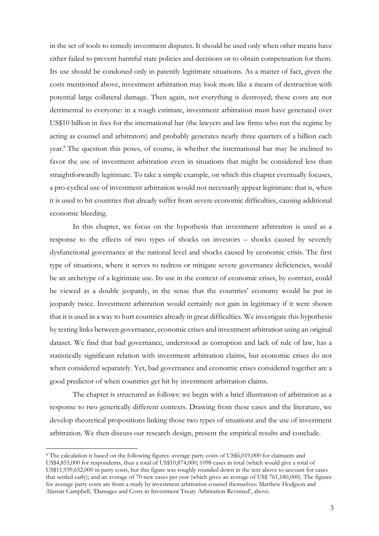in the set of tools to remedy investment disputes. It should be used only when other means have either failed to prevent harmful state policies and decisions or to obtain compensation for them. Its use should be condoned only in patently legitimate situations. As a matter of fact, given the costs mentioned above, investment arbitration may look more like a means of destruction with potential large collateral damage. Then again, not everything is destroyed; these costs are not detrimental to everyone: in a rough estimate, investment arbitration must have generated over US\$10 billion in fees for the international bar (the lawyers and law firms who run the regime by acting as counsel and arbitrators) and probably generates nearly three quarters of a billion each year.8 The question this poses, of course, is whether the international bar may be inclined to favor the use of investment arbitration even in situations that might be considered less than straightforwardly legitimate. To take a simple example, on which this chapter eventually focuses, a pro-cyclical use of investment arbitration would not necessarily appear legitimate: that is, when it is used to hit countries that already suffer from severe economic difficulties, causing additional economic bleeding.

In this chapter, we focus on the hypothesis that investment arbitration is used as a response to the effects of two types of shocks on investors – shocks caused by severely dysfunctional governance at the national level and shocks caused by economic crisis. The first type of situations, where it serves to redress or mitigate severe governance deficiencies, would be an archetype of a legitimate use. Its use in the context of economic crises, by contrast, could be viewed as a double jeopardy, in the sense that the countries' economy would be put in jeopardy twice. Investment arbitration would certainly not gain in legitimacy if it were shown that it is used in a way to hurt countries already in great difficulties. We investigate this hypothesis by testing links between governance, economic crises and investment arbitration using an original dataset. We find that bad governance, understood as corruption and lack of rule of law, has a statistically significant relation with investment arbitration claims, but economic crises do not when considered separately. Yet, bad governance and economic crises considered together are a good predictor of when countries get hit by investment arbitration claims.

The chapter is structured as follows: we begin with a brief illustration of arbitration as a response to two generically different contexts. Drawing from these cases and the literature, we develop theoretical propositions linking those two types of situations and the use of investment arbitration. We then discuss our research design, present the empirical results and conclude.

<sup>8</sup> The calculation is based on the following figures: average party costs of US\$6,019,000 for claimants and US\$4,855,000 for respondents, thus a total of US\$10,874,000; 1098 cases in total (which would give a total of US\$11,939,652,000 in party costs, but this figure was roughly rounded down in the text above to account for cases that settled early); and an average of 70 new cases per year (which gives an average of US\$ 761,180,000). The figures for average party costs are from a study by investment arbitration counsel themselves: Matthew Hodgson and Alastair Campbell, 'Damages and Costs in Investment Treaty Arbitration Revisited', above.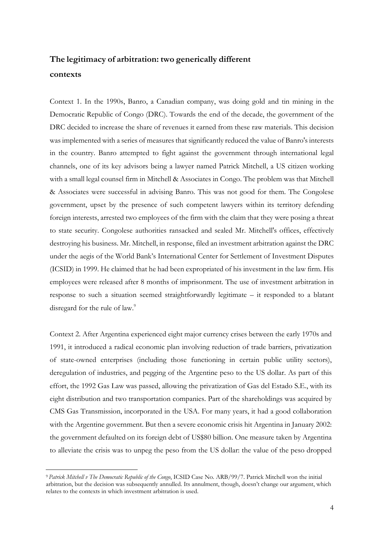# **The legitimacy of arbitration: two generically different contexts**

Context 1. In the 1990s, Banro, a Canadian company, was doing gold and tin mining in the Democratic Republic of Congo (DRC). Towards the end of the decade, the government of the DRC decided to increase the share of revenues it earned from these raw materials. This decision was implemented with a series of measures that significantly reduced the value of Banro's interests in the country. Banro attempted to fight against the government through international legal channels, one of its key advisors being a lawyer named Patrick Mitchell, a US citizen working with a small legal counsel firm in Mitchell & Associates in Congo. The problem was that Mitchell & Associates were successful in advising Banro. This was not good for them. The Congolese government, upset by the presence of such competent lawyers within its territory defending foreign interests, arrested two employees of the firm with the claim that they were posing a threat to state security. Congolese authorities ransacked and sealed Mr. Mitchell's offices, effectively destroying his business. Mr. Mitchell, in response, filed an investment arbitration against the DRC under the aegis of the World Bank's International Center for Settlement of Investment Disputes (ICSID) in 1999. He claimed that he had been expropriated of his investment in the law firm. His employees were released after 8 months of imprisonment. The use of investment arbitration in response to such a situation seemed straightforwardly legitimate – it responded to a blatant disregard for the rule of law.<sup>9</sup>

Context 2. After Argentina experienced eight major currency crises between the early 1970s and 1991, it introduced a radical economic plan involving reduction of trade barriers, privatization of state-owned enterprises (including those functioning in certain public utility sectors), deregulation of industries, and pegging of the Argentine peso to the US dollar. As part of this effort, the 1992 Gas Law was passed, allowing the privatization of Gas del Estado S.E., with its eight distribution and two transportation companies. Part of the shareholdings was acquired by CMS Gas Transmission, incorporated in the USA. For many years, it had a good collaboration with the Argentine government. But then a severe economic crisis hit Argentina in January 2002: the government defaulted on its foreign debt of US\$80 billion. One measure taken by Argentina to alleviate the crisis was to unpeg the peso from the US dollar: the value of the peso dropped

<sup>9</sup> *Patrick Mitchell v The Democratic Republic of the Congo*, ICSID Case No. ARB/99/7. Patrick Mitchell won the initial arbitration, but the decision was subsequently annulled. Its annulment, though, doesn't change our argument, which relates to the contexts in which investment arbitration is used.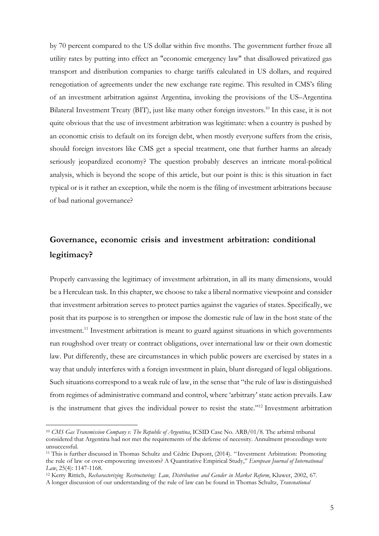by 70 percent compared to the US dollar within five months. The government further froze all utility rates by putting into effect an "economic emergency law" that disallowed privatized gas transport and distribution companies to charge tariffs calculated in US dollars, and required renegotiation of agreements under the new exchange rate regime. This resulted in CMS's filing of an investment arbitration against Argentina, invoking the provisions of the US–Argentina Bilateral Investment Treaty (BIT), just like many other foreign investors.<sup>10</sup> In this case, it is not quite obvious that the use of investment arbitration was legitimate: when a country is pushed by an economic crisis to default on its foreign debt, when mostly everyone suffers from the crisis, should foreign investors like CMS get a special treatment, one that further harms an already seriously jeopardized economy? The question probably deserves an intricate moral-political analysis, which is beyond the scope of this article, but our point is this: is this situation in fact typical or is it rather an exception, while the norm is the filing of investment arbitrations because of bad national governance?

# **Governance, economic crisis and investment arbitration: conditional legitimacy?**

Properly canvassing the legitimacy of investment arbitration, in all its many dimensions, would be a Herculean task. In this chapter, we choose to take a liberal normative viewpoint and consider that investment arbitration serves to protect parties against the vagaries of states. Specifically, we posit that its purpose is to strengthen or impose the domestic rule of law in the host state of the investment.<sup>11</sup> Investment arbitration is meant to guard against situations in which governments run roughshod over treaty or contract obligations, over international law or their own domestic law. Put differently, these are circumstances in which public powers are exercised by states in a way that unduly interferes with a foreign investment in plain, blunt disregard of legal obligations. Such situations correspond to a weak rule of law, in the sense that "the rule of law is distinguished from regimes of administrative command and control, where 'arbitrary' state action prevails. Law is the instrument that gives the individual power to resist the state."12 Investment arbitration

<sup>10</sup> *CMS Gas Transmission Company v. The Republic of Argentina*, ICSID Case No. ARB/01/8. The arbitral tribunal considered that Argentina had not met the requirements of the defense of necessity. Annulment proceedings were unsuccessful.

<sup>11</sup> This is further discussed in Thomas Schultz and Cédric Dupont, (2014). "Investment Arbitration: Promoting the rule of law or over-empowering investors? A Quantitative Empirical Study," *European Journal of International Law*, 25(4): 1147-1168.

<sup>12</sup> Kerry Rittich, *Recharacterizing Restructuring: Law, Distribution and Gender in Market Reform*, Kluwer, 2002, 67.

A longer discussion of our understanding of the rule of law can be found in Thomas Schultz, *Transnational*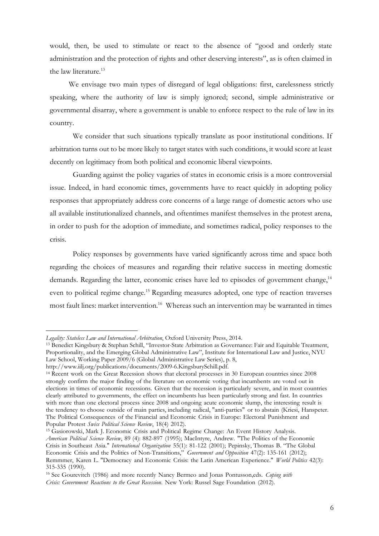would, then, be used to stimulate or react to the absence of "good and orderly state administration and the protection of rights and other deserving interests", as is often claimed in the law literature.<sup>13</sup>

We envisage two main types of disregard of legal obligations: first, carelessness strictly speaking, where the authority of law is simply ignored; second, simple administrative or governmental disarray, where a government is unable to enforce respect to the rule of law in its country.

We consider that such situations typically translate as poor institutional conditions. If arbitration turns out to be more likely to target states with such conditions, it would score at least decently on legitimacy from both political and economic liberal viewpoints.

Guarding against the policy vagaries of states in economic crisis is a more controversial issue. Indeed, in hard economic times, governments have to react quickly in adopting policy responses that appropriately address core concerns of a large range of domestic actors who use all available institutionalized channels, and oftentimes manifest themselves in the protest arena, in order to push for the adoption of immediate, and sometimes radical, policy responses to the crisis.

Policy responses by governments have varied significantly across time and space both regarding the choices of measures and regarding their relative success in meeting domestic demands. Regarding the latter, economic crises have led to episodes of government change, $14$ even to political regime change.<sup>15</sup> Regarding measures adopted, one type of reaction traverses most fault lines: market intervention.16 Whereas such an intervention may be warranted in times

*Legality: Stateless Law and International Arbitration*, Oxford University Press, 2014.

<sup>13</sup> Benedict Kingsbury & Stephan Schill, "Investor-State Arbitration as Governance: Fair and Equitable Treatment, Proportionality, and the Emerging Global Administrative Law", Institute for International Law and Justice, NYU Law School, Working Paper 2009/6 (Global Administrative Law Series), p. 8,

http://www.iilj.org/publications/documents/2009-6.KingsburySchill.pdf.

<sup>14</sup> Recent work on the Great Recession shows that electoral processes in 30 European countries since 2008 strongly confirm the major finding of the literature on economic voting that incumbents are voted out in elections in times of economic recessions. Given that the recession is particularly severe, and in most countries clearly attributed to governments, the effect on incumbents has been particularly strong and fast. In countries with more than one electoral process since 2008 and ongoing acute economic slump, the interesting result is the tendency to choose outside of main parties, including radical, "anti-parties" or to abstain (Kriesi, Hanspeter. The Political Consequences of the Financial and Economic Crisis in Europe: Electoral Punishment and Popular Protest *Swiss Political Science Review*, 18(4) 2012).

<sup>15</sup> Gasiorowski, Mark J. Economic Crisis and Political Regime Change: An Event History Analysis. *American Political Science Review*, 89 (4): 882-897 (1995); MacIntyre, Andrew. "The Politics of the Economic Crisis in Southeast Asia." *International Organization* 55(1): 81-122 (2001); Pepinsky, Thomas B. "The Global Economic Crisis and the Politics of Non-Transitions," *Government and Opposition* 47(2): 135-161 (2012); Remmmer, Karen L. "Democracy and Economic Crisis: the Latin American Experience." *World Politics* 42(3): 315-335 (1990).

<sup>16</sup> See Gourevitch (1986) and more recently Nancy Bermeo and Jonas Pontusson,eds. *Coping with Crisis: Government Reactions to the Great Recession*. New York: Russel Sage Foundation (2012).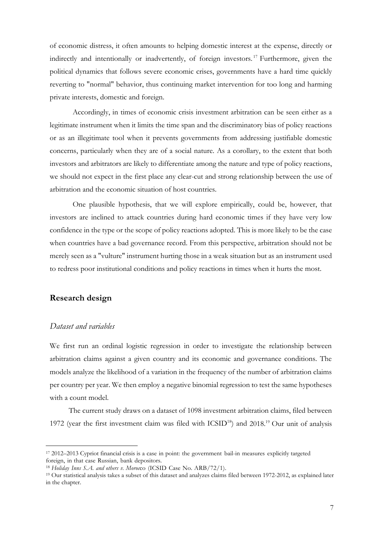of economic distress, it often amounts to helping domestic interest at the expense, directly or indirectly and intentionally or inadvertently, of foreign investors.<sup>17</sup> Furthermore, given the political dynamics that follows severe economic crises, governments have a hard time quickly reverting to "normal" behavior, thus continuing market intervention for too long and harming private interests, domestic and foreign.

Accordingly, in times of economic crisis investment arbitration can be seen either as a legitimate instrument when it limits the time span and the discriminatory bias of policy reactions or as an illegitimate tool when it prevents governments from addressing justifiable domestic concerns, particularly when they are of a social nature. As a corollary, to the extent that both investors and arbitrators are likely to differentiate among the nature and type of policy reactions, we should not expect in the first place any clear-cut and strong relationship between the use of arbitration and the economic situation of host countries.

One plausible hypothesis, that we will explore empirically, could be, however, that investors are inclined to attack countries during hard economic times if they have very low confidence in the type or the scope of policy reactions adopted. This is more likely to be the case when countries have a bad governance record. From this perspective, arbitration should not be merely seen as a "vulture" instrument hurting those in a weak situation but as an instrument used to redress poor institutional conditions and policy reactions in times when it hurts the most.

#### **Research design**

## *Dataset and variables*

 $\overline{a}$ 

We first run an ordinal logistic regression in order to investigate the relationship between arbitration claims against a given country and its economic and governance conditions. The models analyze the likelihood of a variation in the frequency of the number of arbitration claims per country per year. We then employ a negative binomial regression to test the same hypotheses with a count model.

The current study draws on a dataset of 1098 investment arbitration claims, filed between 1972 (year the first investment claim was filed with ICSID<sup>18</sup>) and 2018.<sup>19</sup> Our unit of analysis

<sup>17</sup> 2012–2013 Cypriot financial crisis is a case in point: the government bail-in measures explicitly targeted foreign, in that case Russian, bank depositors.

<sup>18</sup> *Holiday Inns S.A. and others v. Moroc*co (ICSID Case No. ARB/72/1).

<sup>19</sup> Our statistical analysis takes a subset of this dataset and analyzes claims filed between 1972-2012, as explained later in the chapter.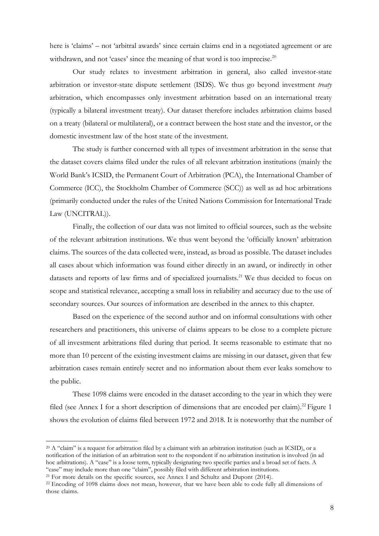here is 'claims' – not 'arbitral awards' since certain claims end in a negotiated agreement or are withdrawn, and not 'cases' since the meaning of that word is too imprecise.<sup>20</sup>

Our study relates to investment arbitration in general, also called investor-state arbitration or investor-state dispute settlement (ISDS). We thus go beyond investment *treaty* arbitration, which encompasses only investment arbitration based on an international treaty (typically a bilateral investment treaty). Our dataset therefore includes arbitration claims based on a treaty (bilateral or multilateral), or a contract between the host state and the investor, or the domestic investment law of the host state of the investment.

The study is further concerned with all types of investment arbitration in the sense that the dataset covers claims filed under the rules of all relevant arbitration institutions (mainly the World Bank's ICSID, the Permanent Court of Arbitration (PCA), the International Chamber of Commerce (ICC), the Stockholm Chamber of Commerce (SCC)) as well as ad hoc arbitrations (primarily conducted under the rules of the United Nations Commission for International Trade Law (UNCITRAL)).

Finally, the collection of our data was not limited to official sources, such as the website of the relevant arbitration institutions. We thus went beyond the 'officially known' arbitration claims. The sources of the data collected were, instead, as broad as possible. The dataset includes all cases about which information was found either directly in an award, or indirectly in other datasets and reports of law firms and of specialized journalists.<sup>21</sup> We thus decided to focus on scope and statistical relevance, accepting a small loss in reliability and accuracy due to the use of secondary sources. Our sources of information are described in the annex to this chapter.

Based on the experience of the second author and on informal consultations with other researchers and practitioners, this universe of claims appears to be close to a complete picture of all investment arbitrations filed during that period. It seems reasonable to estimate that no more than 10 percent of the existing investment claims are missing in our dataset, given that few arbitration cases remain entirely secret and no information about them ever leaks somehow to the public.

These 1098 claims were encoded in the dataset according to the year in which they were filed (see Annex I for a short description of dimensions that are encoded per claim).<sup>22</sup> Figure 1 shows the evolution of claims filed between 1972 and 2018. It is noteworthy that the number of

<sup>&</sup>lt;sup>20</sup> A "claim" is a request for arbitration filed by a claimant with an arbitration institution (such as ICSID), or a notification of the initiation of an arbitration sent to the respondent if no arbitration institution is involved (in ad hoc arbitrations). A "case" is a loose term, typically designating two specific parties and a broad set of facts. A "case" may include more than one "claim", possibly filed with different arbitration institutions.

<sup>&</sup>lt;sup>21</sup> For more details on the specific sources, see Annex I and Schultz and Dupont (2014).

<sup>&</sup>lt;sup>22</sup> Encoding of 1098 claims does not mean, however, that we have been able to code fully all dimensions of those claims.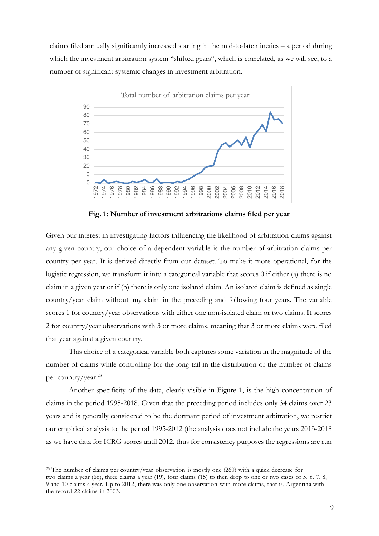claims filed annually significantly increased starting in the mid-to-late nineties – a period during which the investment arbitration system "shifted gears", which is correlated, as we will see, to a number of significant systemic changes in investment arbitration.



**Fig. 1: Number of investment arbitrations claims filed per year**

Given our interest in investigating factors influencing the likelihood of arbitration claims against any given country, our choice of a dependent variable is the number of arbitration claims per country per year. It is derived directly from our dataset. To make it more operational, for the logistic regression, we transform it into a categorical variable that scores 0 if either (a) there is no claim in a given year or if (b) there is only one isolated claim. An isolated claim is defined as single country/year claim without any claim in the preceding and following four years. The variable scores 1 for country/year observations with either one non-isolated claim or two claims. It scores 2 for country/year observations with 3 or more claims, meaning that 3 or more claims were filed that year against a given country.

This choice of a categorical variable both captures some variation in the magnitude of the number of claims while controlling for the long tail in the distribution of the number of claims per country/year.<sup>23</sup>

Another specificity of the data, clearly visible in Figure 1, is the high concentration of claims in the period 1995-2018. Given that the preceding period includes only 34 claims over 23 years and is generally considered to be the dormant period of investment arbitration, we restrict our empirical analysis to the period 1995-2012 (the analysis does not include the years 2013-2018 as we have data for ICRG scores until 2012, thus for consistency purposes the regressions are run

<sup>&</sup>lt;sup>23</sup> The number of claims per country/year observation is mostly one (260) with a quick decrease for two claims a year (66), three claims a year (19), four claims (15) to then drop to one or two cases of 5, 6, 7, 8, 9 and 10 claims a year. Up to 2012, there was only one observation with more claims, that is, Argentina with the record 22 claims in 2003.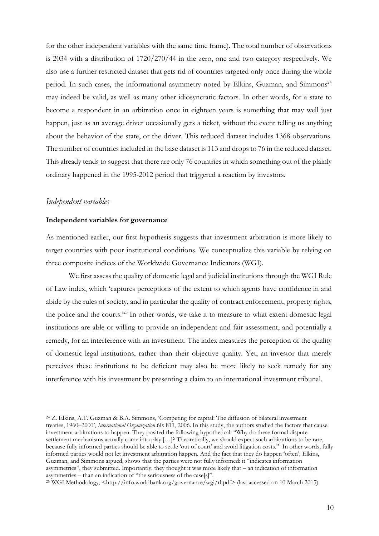for the other independent variables with the same time frame). The total number of observations is 2034 with a distribution of 1720/270/44 in the zero, one and two category respectively. We also use a further restricted dataset that gets rid of countries targeted only once during the whole period. In such cases, the informational asymmetry noted by Elkins, Guzman, and Simmons<sup>24</sup> may indeed be valid, as well as many other idiosyncratic factors. In other words, for a state to become a respondent in an arbitration once in eighteen years is something that may well just happen, just as an average driver occasionally gets a ticket, without the event telling us anything about the behavior of the state, or the driver. This reduced dataset includes 1368 observations. The number of countries included in the base dataset is 113 and drops to 76 in the reduced dataset. This already tends to suggest that there are only 76 countries in which something out of the plainly ordinary happened in the 1995-2012 period that triggered a reaction by investors.

#### *Independent variables*

#### **Independent variables for governance**

As mentioned earlier, our first hypothesis suggests that investment arbitration is more likely to target countries with poor institutional conditions. We conceptualize this variable by relying on three composite indices of the Worldwide Governance Indicators (WGI).

We first assess the quality of domestic legal and judicial institutions through the WGI Rule of Law index, which 'captures perceptions of the extent to which agents have confidence in and abide by the rules of society, and in particular the quality of contract enforcement, property rights, the police and the courts.'25 In other words, we take it to measure to what extent domestic legal institutions are able or willing to provide an independent and fair assessment, and potentially a remedy, for an interference with an investment. The index measures the perception of the quality of domestic legal institutions, rather than their objective quality. Yet, an investor that merely perceives these institutions to be deficient may also be more likely to seek remedy for any interference with his investment by presenting a claim to an international investment tribunal.

 $\overline{a}$ <sup>24</sup> Z. Elkins, A.T. Guzman & B.A. Simmons, 'Competing for capital: The diffusion of bilateral investment treaties, 1960–2000', *International Organization* 60: 811, 2006. In this study, the authors studied the factors that cause investment arbitrations to happen. They posited the following hypothetical: "Why do these formal dispute settlement mechanisms actually come into play [...]? Theoretically, we should expect such arbitrations to be rare, because fully informed parties should be able to settle 'out of court' and avoid litigation costs." In other words, fully informed parties would not let investment arbitration happen. And the fact that they do happen 'often', Elkins, Guzman, and Simmons argued, shows that the parties were not fully informed: it "indicates information asymmetries", they submitted. Importantly, they thought it was more likely that – an indication of information asymmetries – than an indication of "the seriousness of the case[s]".

<sup>25</sup> WGI Methodology, <http://info.worldbank.org/governance/wgi/rl.pdf> (last accessed on 10 March 2015).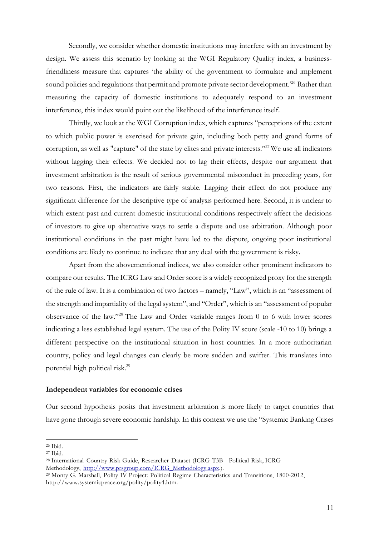Secondly, we consider whether domestic institutions may interfere with an investment by design. We assess this scenario by looking at the WGI Regulatory Quality index, a businessfriendliness measure that captures 'the ability of the government to formulate and implement sound policies and regulations that permit and promote private sector development.<sup>26</sup> Rather than measuring the capacity of domestic institutions to adequately respond to an investment interference, this index would point out the likelihood of the interference itself.

Thirdly, we look at the WGI Corruption index, which captures "perceptions of the extent to which public power is exercised for private gain, including both petty and grand forms of corruption, as well as "capture" of the state by elites and private interests."27 We use all indicators without lagging their effects. We decided not to lag their effects, despite our argument that investment arbitration is the result of serious governmental misconduct in preceding years, for two reasons. First, the indicators are fairly stable. Lagging their effect do not produce any significant difference for the descriptive type of analysis performed here. Second, it is unclear to which extent past and current domestic institutional conditions respectively affect the decisions of investors to give up alternative ways to settle a dispute and use arbitration. Although poor institutional conditions in the past might have led to the dispute, ongoing poor institutional conditions are likely to continue to indicate that any deal with the government is risky.

Apart from the abovementioned indices, we also consider other prominent indicators to compare our results. The ICRG Law and Order score is a widely recognized proxy for the strength of the rule of law. It is a combination of two factors – namely, "Law", which is an "assessment of the strength and impartiality of the legal system", and "Order", which is an "assessment of popular observance of the law."28 The Law and Order variable ranges from 0 to 6 with lower scores indicating a less established legal system. The use of the Polity IV score (scale -10 to 10) brings a different perspective on the institutional situation in host countries. In a more authoritarian country, policy and legal changes can clearly be more sudden and swifter. This translates into potential high political risk.29

#### **Independent variables for economic crises**

Our second hypothesis posits that investment arbitration is more likely to target countries that have gone through severe economic hardship. In this context we use the "Systemic Banking Crises

<sup>26</sup> Ibid.

<sup>27</sup> Ibid.

<sup>28</sup> International Country Risk Guide, Researcher Dataset (ICRG T3B - Political Risk, ICRG Methodology, http://www.prsgroup.com/ICRG\_Methodology.aspx.).

<sup>29</sup> Monty G. Marshall, Polity IV Project: Political Regime Characteristics and Transitions, 1800-2012, http://www.systemicpeace.org/polity/polity4.htm.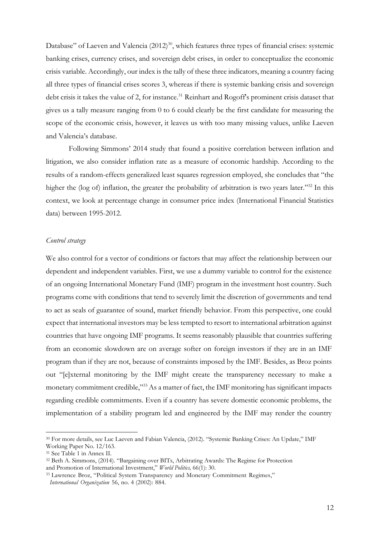Database" of Laeven and Valencia (2012)<sup>30</sup>, which features three types of financial crises: systemic banking crises, currency crises, and sovereign debt crises, in order to conceptualize the economic crisis variable. Accordingly, our index is the tally of these three indicators, meaning a country facing all three types of financial crises scores 3, whereas if there is systemic banking crisis and sovereign debt crisis it takes the value of 2, for instance.<sup>31</sup> Reinhart and Rogoff's prominent crisis dataset that gives us a tally measure ranging from 0 to 6 could clearly be the first candidate for measuring the scope of the economic crisis, however, it leaves us with too many missing values, unlike Laeven and Valencia's database.

Following Simmons' 2014 study that found a positive correlation between inflation and litigation, we also consider inflation rate as a measure of economic hardship. According to the results of a random-effects generalized least squares regression employed, she concludes that "the higher the (log of) inflation, the greater the probability of arbitration is two years later."<sup>32</sup> In this context, we look at percentage change in consumer price index (International Financial Statistics data) between 1995-2012.

#### *Control strategy*

We also control for a vector of conditions or factors that may affect the relationship between our dependent and independent variables. First, we use a dummy variable to control for the existence of an ongoing International Monetary Fund (IMF) program in the investment host country. Such programs come with conditions that tend to severely limit the discretion of governments and tend to act as seals of guarantee of sound, market friendly behavior. From this perspective, one could expect that international investors may be less tempted to resort to international arbitration against countries that have ongoing IMF programs. It seems reasonably plausible that countries suffering from an economic slowdown are on average softer on foreign investors if they are in an IMF program than if they are not, because of constraints imposed by the IMF. Besides, as Broz points out "[e]xternal monitoring by the IMF might create the transparency necessary to make a monetary commitment credible,"33 As a matter of fact, the IMF monitoring has significant impacts regarding credible commitments. Even if a country has severe domestic economic problems, the implementation of a stability program led and engineered by the IMF may render the country

<sup>30</sup> For more details, see Luc Laeven and Fabian Valencia, (2012). "Systemic Banking Crises: An Update," IMF Working Paper No. 12/163.

<sup>31</sup> See Table 1 in Annex II.

<sup>32</sup> Beth A. Simmons, (2014). "Bargaining over BITs, Arbitrating Awards: The Regime for Protection and Promotion of International Investment," *World Politics,* 66(1): 30.

<sup>33</sup> Lawrence Broz, "Political System Transparency and Monetary Commitment Regimes," *International Organization* 56, no. 4 (2002): 884.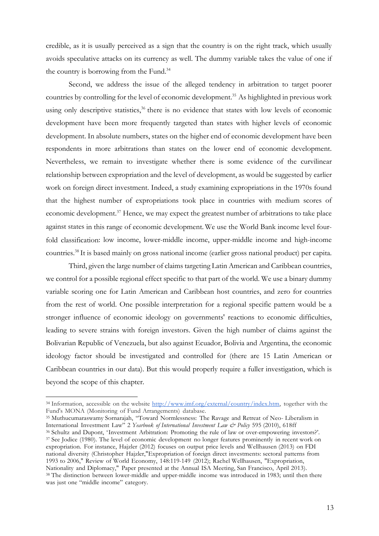credible, as it is usually perceived as a sign that the country is on the right track, which usually avoids speculative attacks on its currency as well. The dummy variable takes the value of one if the country is borrowing from the Fund.<sup>34</sup>

Second, we address the issue of the alleged tendency in arbitration to target poorer countries by controlling for the level of economic development.<sup>35</sup> As highlighted in previous work using only descriptive statistics,<sup>36</sup> there is no evidence that states with low levels of economic development have been more frequently targeted than states with higher levels of economic development. In absolute numbers, states on the higher end of economic development have been respondents in more arbitrations than states on the lower end of economic development. Nevertheless, we remain to investigate whether there is some evidence of the curvilinear relationship between expropriation and the level of development, as would be suggested by earlier work on foreign direct investment. Indeed, a study examining expropriations in the 1970s found that the highest number of expropriations took place in countries with medium scores of economic development.<sup>37</sup> Hence, we may expect the greatest number of arbitrations to take place against states in this range of economic development. We use the World Bank income level fourfold classification: low income, lower-middle income, upper-middle income and high-income countries.38 It is based mainly on gross national income (earlier gross national product) per capita.

Third, given the large number of claims targeting Latin American and Caribbean countries, we control for a possible regional effect specific to that part of the world. We use a binary dummy variable scoring one for Latin American and Caribbean host countries, and zero for countries from the rest of world. One possible interpretation for a regional specific pattern would be a stronger influence of economic ideology on governments' reactions to economic difficulties, leading to severe strains with foreign investors. Given the high number of claims against the Bolivarian Republic of Venezuela, but also against Ecuador, Bolivia and Argentina, the economic ideology factor should be investigated and controlled for (there are 15 Latin American or Caribbean countries in our data). But this would properly require a fuller investigation, which is beyond the scope of this chapter.

<sup>&</sup>lt;sup>34</sup> Information, accessible on the website http://www.imf.org/external/country/index.htm, together with the Fund's MONA (Monitoring of Fund Arrangements) database.

<sup>35</sup> Muthucumaraswamy Sornarajah, "Toward Normlessness: The Ravage and Retreat of Neo- Liberalism in International Investment Law" 2 *Yearbook of International Investment Law & Policy* 595 (2010), 618ff <sup>36</sup> Schultz and Dupont, 'Investment Arbitration: Promoting the rule of law or over-empowering investors?'. <sup>37</sup> See Jodice (1980). The level of economic development no longer features prominently in recent work on expropriation. For instance, Hajzler (2012) focuses on output price levels and Wellhausen (2013) on FDI national diversity (Christopher Hajzler,"Expropriation of foreign direct investments: sectoral patterns from 1993 to 2006," Review of World Economy, 148:119-149 (2012); Rachel Wellhausen, "Expropriation, Nationality and Diplomacy," Paper presented at the Annual ISA Meeting, San Francisco, April 2013). <sup>38</sup> The distinction between lower-middle and upper-middle income was introduced in 1983; until then there was just one "middle income" category.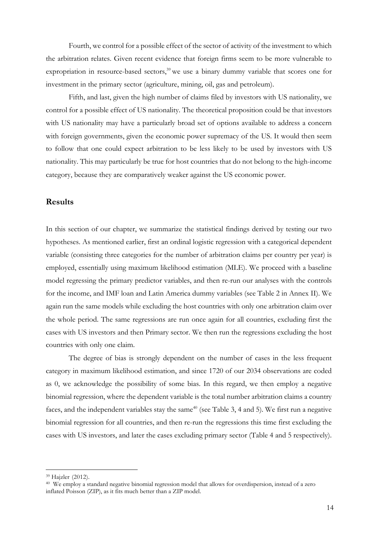Fourth, we control for a possible effect of the sector of activity of the investment to which the arbitration relates. Given recent evidence that foreign firms seem to be more vulnerable to expropriation in resource-based sectors,<sup>39</sup> we use a binary dummy variable that scores one for investment in the primary sector (agriculture, mining, oil, gas and petroleum).

Fifth, and last, given the high number of claims filed by investors with US nationality, we control for a possible effect of US nationality. The theoretical proposition could be that investors with US nationality may have a particularly broad set of options available to address a concern with foreign governments, given the economic power supremacy of the US. It would then seem to follow that one could expect arbitration to be less likely to be used by investors with US nationality. This may particularly be true for host countries that do not belong to the high-income category, because they are comparatively weaker against the US economic power.

## **Results**

In this section of our chapter, we summarize the statistical findings derived by testing our two hypotheses. As mentioned earlier, first an ordinal logistic regression with a categorical dependent variable (consisting three categories for the number of arbitration claims per country per year) is employed, essentially using maximum likelihood estimation (MLE). We proceed with a baseline model regressing the primary predictor variables, and then re-run our analyses with the controls for the income, and IMF loan and Latin America dummy variables (see Table 2 in Annex II). We again run the same models while excluding the host countries with only one arbitration claim over the whole period. The same regressions are run once again for all countries, excluding first the cases with US investors and then Primary sector. We then run the regressions excluding the host countries with only one claim.

The degree of bias is strongly dependent on the number of cases in the less frequent category in maximum likelihood estimation, and since 1720 of our 2034 observations are coded as 0, we acknowledge the possibility of some bias. In this regard, we then employ a negative binomial regression, where the dependent variable is the total number arbitration claims a country faces, and the independent variables stay the same<sup>40</sup> (see Table 3, 4 and 5). We first run a negative binomial regression for all countries, and then re-run the regressions this time first excluding the cases with US investors, and later the cases excluding primary sector (Table 4 and 5 respectively).

<sup>39</sup> Hajzler (2012).

<sup>40</sup> We employ a standard negative binomial regression model that allows for overdispersion, instead of a zero inflated Poisson (ZIP), as it fits much better than a ZIP model.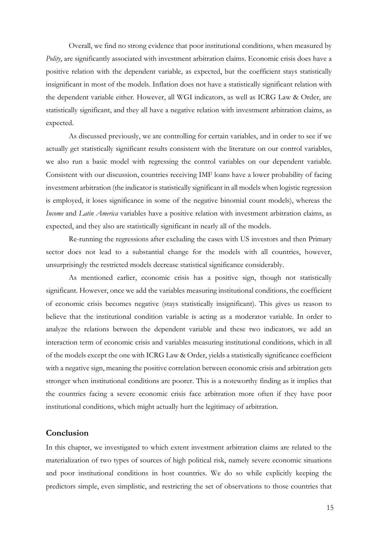Overall, we find no strong evidence that poor institutional conditions, when measured by *Polity*, are significantly associated with investment arbitration claims. Economic crisis does have a positive relation with the dependent variable, as expected, but the coefficient stays statistically insignificant in most of the models. Inflation does not have a statistically significant relation with the dependent variable either. However, all WGI indicators, as well as ICRG Law & Order, are statistically significant, and they all have a negative relation with investment arbitration claims, as expected.

As discussed previously, we are controlling for certain variables, and in order to see if we actually get statistically significant results consistent with the literature on our control variables, we also run a basic model with regressing the control variables on our dependent variable. Consistent with our discussion, countries receiving IMF loans have a lower probability of facing investment arbitration (the indicator is statistically significant in all models when logistic regression is employed, it loses significance in some of the negative binomial count models), whereas the *Income* and *Latin America* variables have a positive relation with investment arbitration claims, as expected, and they also are statistically significant in nearly all of the models.

Re-running the regressions after excluding the cases with US investors and then Primary sector does not lead to a substantial change for the models with all countries, however, unsurprisingly the restricted models decrease statistical significance considerably.

As mentioned earlier, economic crisis has a positive sign, though not statistically significant. However, once we add the variables measuring institutional conditions, the coefficient of economic crisis becomes negative (stays statistically insignificant). This gives us reason to believe that the institutional condition variable is acting as a moderator variable. In order to analyze the relations between the dependent variable and these two indicators, we add an interaction term of economic crisis and variables measuring institutional conditions, which in all of the models except the one with ICRG Law & Order, yields a statistically significance coefficient with a negative sign, meaning the positive correlation between economic crisis and arbitration gets stronger when institutional conditions are poorer. This is a noteworthy finding as it implies that the countries facing a severe economic crisis face arbitration more often if they have poor institutional conditions, which might actually hurt the legitimacy of arbitration.

## **Conclusion**

In this chapter, we investigated to which extent investment arbitration claims are related to the materialization of two types of sources of high political risk, namely severe economic situations and poor institutional conditions in host countries. We do so while explicitly keeping the predictors simple, even simplistic, and restricting the set of observations to those countries that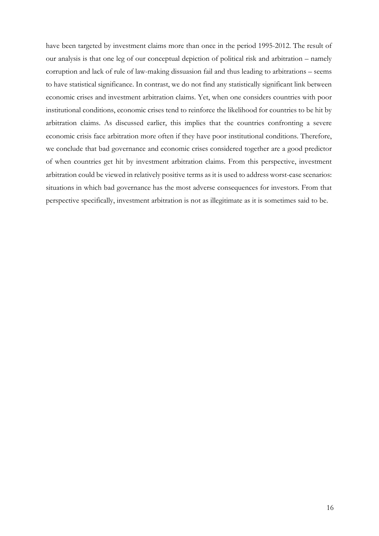have been targeted by investment claims more than once in the period 1995-2012. The result of our analysis is that one leg of our conceptual depiction of political risk and arbitration – namely corruption and lack of rule of law-making dissuasion fail and thus leading to arbitrations – seems to have statistical significance. In contrast, we do not find any statistically significant link between economic crises and investment arbitration claims. Yet, when one considers countries with poor institutional conditions, economic crises tend to reinforce the likelihood for countries to be hit by arbitration claims. As discussed earlier, this implies that the countries confronting a severe economic crisis face arbitration more often if they have poor institutional conditions. Therefore, we conclude that bad governance and economic crises considered together are a good predictor of when countries get hit by investment arbitration claims. From this perspective, investment arbitration could be viewed in relatively positive terms as it is used to address worst-case scenarios: situations in which bad governance has the most adverse consequences for investors. From that perspective specifically, investment arbitration is not as illegitimate as it is sometimes said to be.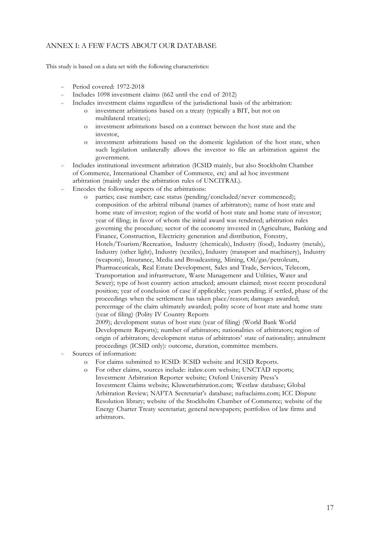#### ANNEX I: A FEW FACTS ABOUT OUR DATABASE

This study is based on <sup>a</sup> data set with the following characteristics:

- Period covered: 1972-2018
- Includes 1098 investment claims (662 until the end of 2012)
- Includes investment claims regardless of the jurisdictional basis of the arbitration:
	- o investment arbitrations based on a treaty (typically a BIT, but not on multilateral treaties);
	- o investment arbitrations based on a contract between the host state and the investor,
	- o investment arbitrations based on the domestic legislation of the host state, when such legislation unilaterally allows the investor to file an arbitration against the government.
- Includes institutional investment arbitration (ICSID mainly, but also Stockholm Chamber of Commerce, International Chamber of Commerce, etc) and ad hoc investment arbitration (mainly under the arbitration rules of UNCITRAL).
- Encodes the following aspects of the arbitrations:
	- o parties; case number; case status (pending/concluded/never commenced); composition of the arbitral tribunal (names of arbitrators); name of host state and home state of investor; region of the world of host state and home state of investor; year of filing; in favor of whom the initial award was rendered; arbitration rules governing the procedure; sector of the economy invested in (Agriculture, Banking and Finance, Construction, Electricity generation and distribution, Forestry, Hotels/Tourism/Recreation, Industry (chemicals), Industry (food), Industry (metals), Industry (other light), Industry (textiles), Industry (transport and machinery), Industry (weapons), Insurance, Media and Broadcasting, Mining, Oil/gas/petroleum, Pharmaceuticals, Real Estate Development, Sales and Trade, Services, Telecom, Transportation and infrastructure, Waste Management and Utilities, Water and Sewer); type of host country action attacked; amount claimed; most recent procedural position; year of conclusion of case if applicable; years pending; if settled, phase of the proceedings when the settlement has taken place/reason; damages awarded; percentage of the claim ultimately awarded; polity score of host state and home state (year of filing) (Polity IV Country Reports 2009); development status of host state (year of filing) (World Bank World Development Reports); number of arbitrators; nationalities of arbitrators; region of origin of arbitrators; development status of arbitrators' state of nationality; annulment proceedings (ICSID only): outcome, duration, committee members.
- Sources of information:
	- o For claims submitted to ICSID: ICSID website and ICSID Reports.
	- o For other claims, sources include: italaw.com website; UNCTAD reports; Investment Arbitration Reporter website; Oxford University Press's Investment Claims website; Kluwerarbitration.com; Westlaw database; Global Arbitration Review; NAFTA Secretariat's database; naftaclaims.com; ICC Dispute Resolution library; website of the Stockholm Chamber of Commerce; website of the Energy Charter Treaty secretariat; general newspapers; portfolios of law firms and arbitrators.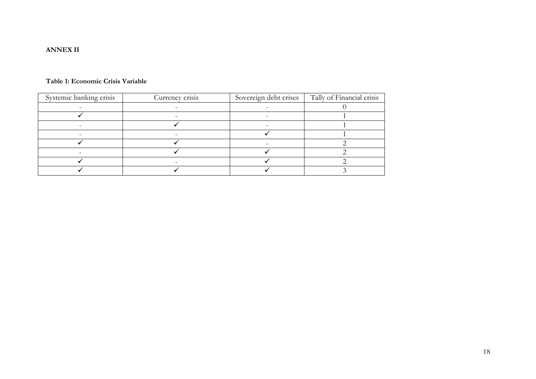## **ANNEX II**

#### **Table 1: Economic Crisis Variable**

| Systemic banking crisis | Currency crisis | Sovereign debt crises | Tally of Financial crisis |
|-------------------------|-----------------|-----------------------|---------------------------|
|                         |                 |                       |                           |
|                         |                 |                       |                           |
|                         |                 |                       |                           |
|                         |                 |                       |                           |
|                         |                 |                       |                           |
|                         |                 |                       |                           |
|                         |                 |                       |                           |
|                         |                 |                       |                           |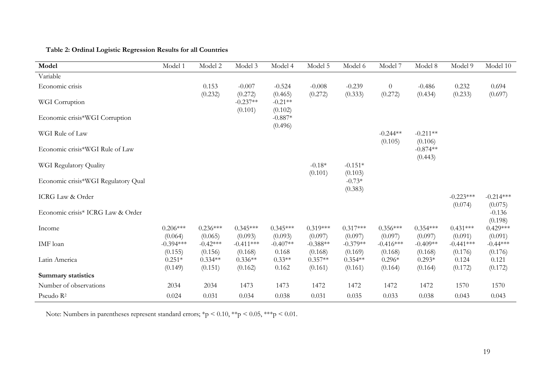# **Table 2: Ordinal Logistic Regression Results for all Countries**

| Model                               | Model 1                           | Model 2                          | Model 3                           | Model 4                         | Model 5                          | Model 6                          | Model 7                           | Model 8                          | Model 9                           | Model 10                         |
|-------------------------------------|-----------------------------------|----------------------------------|-----------------------------------|---------------------------------|----------------------------------|----------------------------------|-----------------------------------|----------------------------------|-----------------------------------|----------------------------------|
| Variable                            |                                   |                                  |                                   |                                 |                                  |                                  |                                   |                                  |                                   |                                  |
| Economic crisis                     |                                   | 0.153                            | $-0.007$                          | $-0.524$                        | $-0.008$                         | $-0.239$                         | $\theta$                          | $-0.486$                         | 0.232                             | 0.694                            |
| WGI Corruption                      |                                   | (0.232)                          | (0.272)<br>$-0.237**$<br>(0.101)  | (0.465)<br>$-0.21**$<br>(0.102) | (0.272)                          | (0.333)                          | (0.272)                           | (0.434)                          | (0.233)                           | (0.697)                          |
| Economic crisis*WGI Corruption      |                                   |                                  |                                   | $-0.887*$<br>(0.496)            |                                  |                                  |                                   |                                  |                                   |                                  |
| WGI Rule of Law                     |                                   |                                  |                                   |                                 |                                  |                                  | $-0.244**$<br>(0.105)             | $-0.211**$<br>(0.106)            |                                   |                                  |
| Economic crisis*WGI Rule of Law     |                                   |                                  |                                   |                                 |                                  |                                  |                                   | $-0.874**$<br>(0.443)            |                                   |                                  |
| WGI Regulatory Quality              |                                   |                                  |                                   |                                 | $-0.18*$<br>(0.101)              | $-0.151*$<br>(0.103)             |                                   |                                  |                                   |                                  |
| Economic crisis*WGI Regulatory Qual |                                   |                                  |                                   |                                 |                                  | $-0.73*$<br>(0.383)              |                                   |                                  |                                   |                                  |
| <b>ICRG Law &amp; Order</b>         |                                   |                                  |                                   |                                 |                                  |                                  |                                   |                                  | $-0.223***$<br>(0.074)            | $-0.214***$<br>(0.075)           |
| Economic crisis* ICRG Law & Order   |                                   |                                  |                                   |                                 |                                  |                                  |                                   |                                  |                                   | $-0.136$<br>(0.198)              |
| Income                              | $0.206***$                        | $0.236***$                       | $0.345***$                        | $0.345***$                      | $0.319***$                       | $0.317***$                       | $0.356***$                        | $0.354***$                       | $0.431***$                        | $0.429***$                       |
| IMF loan                            | (0.064)<br>$-0.394***$<br>(0.155) | (0.065)<br>$-0.42***$<br>(0.156) | (0.093)<br>$-0.411***$<br>(0.168) | (0.093)<br>$-0.407**$<br>0.168  | (0.097)<br>$-0.388**$<br>(0.168) | (0.097)<br>$-0.379**$<br>(0.169) | (0.097)<br>$-0.416***$<br>(0.168) | (0.097)<br>$-0.409**$<br>(0.168) | (0.091)<br>$-0.441***$<br>(0.176) | (0.091)<br>$-0.44***$<br>(0.176) |
| Latin America                       | $0.251*$                          | $0.334**$                        | $0.336**$                         | $0.33**$                        | $0.357**$                        | $0.354**$                        | $0.296*$                          | $0.293*$                         | 0.124                             | 0.121                            |
|                                     | (0.149)                           | (0.151)                          | (0.162)                           | 0.162                           | (0.161)                          | (0.161)                          | (0.164)                           | (0.164)                          | (0.172)                           | (0.172)                          |
| <b>Summary statistics</b>           |                                   |                                  |                                   |                                 |                                  |                                  |                                   |                                  |                                   |                                  |
| Number of observations              | 2034                              | 2034                             | 1473                              | 1473                            | 1472                             | 1472                             | 1472                              | 1472                             | 1570                              | 1570                             |
| Pseudo R <sup>2</sup>               | 0.024                             | 0.031                            | 0.034                             | 0.038                           | 0.031                            | 0.035                            | 0.033                             | 0.038                            | 0.043                             | 0.043                            |

Note: Numbers in parentheses represent standard errors; \*p < 0.10, \*\*p < 0.05, \*\*\*p < 0.01.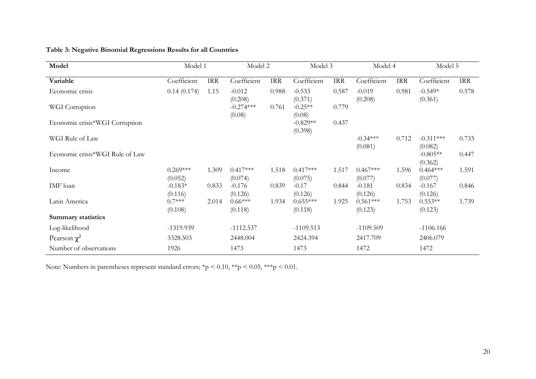| Model                           | Model 1               |            | Model 2               |            | Model 3               |            | Model 4               |            | Model 5                |            |
|---------------------------------|-----------------------|------------|-----------------------|------------|-----------------------|------------|-----------------------|------------|------------------------|------------|
| Variable                        | Coefficient           | <b>IRR</b> | Coefficient           | <b>IRR</b> | Coefficient           | <b>IRR</b> | Coefficient           | <b>IRR</b> | Coefficient            | <b>IRR</b> |
| Economic crisis                 | 0.14(0.174)           | 1.15       | $-0.012$<br>(0.208)   | 0.988      | $-0.533$<br>(0.371)   | 0.587      | $-0.019$<br>(0.208)   | 0.981      | $-0.549*$<br>(0.361)   | 0.578      |
| WGI Corruption                  |                       |            | $-0.274***$<br>(0.08) | 0.761      | $-0.25**$<br>(0.08)   | 0.779      |                       |            |                        |            |
| Economic crisis*WGI Corruption  |                       |            |                       |            | $-0.829**$<br>(0.398) | 0.437      |                       |            |                        |            |
| WGI Rule of Law                 |                       |            |                       |            |                       |            | $-0.34***$<br>(0.081) | 0.712      | $-0.311***$<br>(0.082) | 0.733      |
| Economic crisis*WGI Rule of Law |                       |            |                       |            |                       |            |                       |            | $-0.805**$<br>(0.362)  | 0.447      |
| Income                          | $0.269***$<br>(0.052) | 1.309      | $0.417***$<br>(0.074) | 1.518      | $0.417***$<br>(0.075) | 1.517      | $0.467***$<br>(0.077) | 1.596      | $0.464***$<br>(0.077)  | 1.591      |
| IMF loan                        | $-0.183*$<br>(0.116)  | 0.833      | $-0.176$<br>(0.126)   | 0.839      | $-0.17$<br>(0.126)    | 0.844      | $-0.181$<br>(0.126)   | 0.834      | $-0.167$<br>(0.126)    | 0.846      |
| Latin America                   | $0.7***$<br>(0.108)   | 2.014      | $0.66***$<br>(0.118)  | 1.934      | $0.655***$<br>(0.118) | 1.925      | $0.561***$<br>(0.123) | 1.753      | $0.553**$<br>(0.123)   | 1.739      |
| <b>Summary statistics</b>       |                       |            |                       |            |                       |            |                       |            |                        |            |
| Log-likelihood                  | $-1319.939$           |            | $-1112.537$           |            | $-1109.513$           |            | $-1109.509$           |            | $-1106.166$            |            |
| Pearson $\chi^2$                | 3328.503              |            | 2448.004              |            | 2424.394              |            | 2417.709              |            | 2406.079               |            |
| Number of observations          | 1926                  |            | 1473                  |            | 1473                  |            | 1472                  |            | 1472                   |            |

# **Table 3: Negative Binomial Regressions Results for all Countries**

Note: Numbers in parentheses represent standard errors; \*p < 0.10, \*\*p < 0.05, \*\*\*p < 0.01.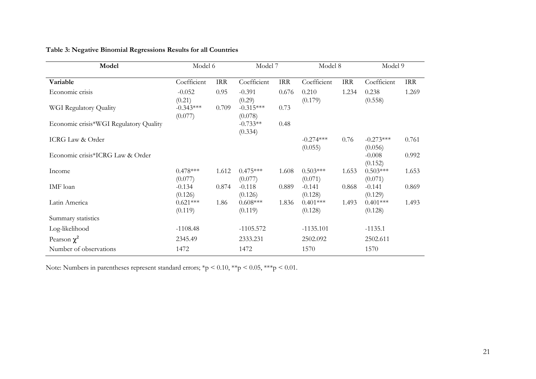| Model                                  | Model 6<br>Model 7     |            |                        |            | Model 8                |            | Model 9                |            |  |
|----------------------------------------|------------------------|------------|------------------------|------------|------------------------|------------|------------------------|------------|--|
| Variable                               | Coefficient            | <b>IRR</b> | Coefficient            | <b>IRR</b> | Coefficient            | <b>IRR</b> | Coefficient            | <b>IRR</b> |  |
| Economic crisis                        | $-0.052$<br>(0.21)     | 0.95       | $-0.391$<br>(0.29)     | 0.676      | 0.210<br>(0.179)       | 1.234      | 0.238<br>(0.558)       | 1.269      |  |
| <b>WGI Regulatory Quality</b>          | $-0.343***$<br>(0.077) | 0.709      | $-0.315***$<br>(0.078) | 0.73       |                        |            |                        |            |  |
| Economic crisis*WGI Regulatory Quality |                        |            | $-0.733**$<br>(0.334)  | 0.48       |                        |            |                        |            |  |
| <b>ICRG Law &amp; Order</b>            |                        |            |                        |            | $-0.274***$<br>(0.055) | 0.76       | $-0.273***$<br>(0.056) | 0.761      |  |
| Economic crisis*ICRG Law & Order       |                        |            |                        |            |                        |            | $-0.008$<br>(0.152)    | 0.992      |  |
| Income                                 | $0.478***$<br>(0.077)  | 1.612      | $0.475***$<br>(0.077)  | 1.608      | $0.503***$<br>(0.071)  | 1.653      | $0.503***$<br>(0.071)  | 1.653      |  |
| IMF loan                               | $-0.134$<br>(0.126)    | 0.874      | $-0.118$<br>(0.126)    | 0.889      | $-0.141$<br>(0.128)    | 0.868      | $-0.141$<br>(0.129)    | 0.869      |  |
| Latin America                          | $0.621***$<br>(0.119)  | 1.86       | $0.608***$<br>(0.119)  | 1.836      | $0.401***$<br>(0.128)  | 1.493      | $0.401***$<br>(0.128)  | 1.493      |  |
| Summary statistics                     |                        |            |                        |            |                        |            |                        |            |  |
| Log-likelihood                         | $-1108.48$             |            | $-1105.572$            |            | $-1135.101$            |            | $-1135.1$              |            |  |
| Pearson $\chi^2$                       | 2345.49                |            | 2333.231               |            | 2502.092               |            | 2502.611               |            |  |
| Number of observations                 | 1472                   |            | 1472                   |            | 1570                   |            | 1570                   |            |  |

# **Table 3: Negative Binomial Regressions Results for all Countries**

Note: Numbers in parentheses represent standard errors;  ${}^*\text{p}$  < 0.10,  ${}^{**}\text{p}$  < 0.05,  ${}^{***}\text{p}$  < 0.01.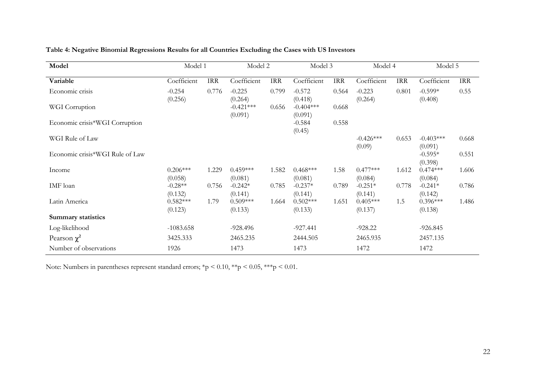| Model                           | Model 1               |            | Model 2<br>Model 3     |            | Model 4                |            | Model 5               |            |                        |            |
|---------------------------------|-----------------------|------------|------------------------|------------|------------------------|------------|-----------------------|------------|------------------------|------------|
| Variable                        | Coefficient           | <b>IRR</b> | Coefficient            | <b>IRR</b> | Coefficient            | <b>IRR</b> | Coefficient           | <b>IRR</b> | Coefficient            | <b>IRR</b> |
| Economic crisis                 | $-0.254$<br>(0.256)   | 0.776      | $-0.225$<br>(0.264)    | 0.799      | $-0.572$<br>(0.418)    | 0.564      | $-0.223$<br>(0.264)   | 0.801      | $-0.599*$<br>(0.408)   | 0.55       |
| WGI Corruption                  |                       |            | $-0.421***$<br>(0.091) | 0.656      | $-0.404***$<br>(0.091) | 0.668      |                       |            |                        |            |
| Economic crisis*WGI Corruption  |                       |            |                        |            | $-0.584$<br>(0.45)     | 0.558      |                       |            |                        |            |
| WGI Rule of Law                 |                       |            |                        |            |                        |            | $-0.426***$<br>(0.09) | 0.653      | $-0.403***$<br>(0.091) | 0.668      |
| Economic crisis*WGI Rule of Law |                       |            |                        |            |                        |            |                       |            | $-0.595*$<br>(0.398)   | 0.551      |
| Income                          | $0.206***$<br>(0.058) | 1.229      | $0.459***$<br>(0.081)  | 1.582      | $0.468***$<br>(0.081)  | 1.58       | $0.477***$<br>(0.084) | 1.612      | $0.474***$<br>(0.084)  | 1.606      |
| IMF loan                        | $-0.28**$<br>(0.132)  | 0.756      | $-0.242*$<br>(0.141)   | 0.785      | $-0.237*$<br>(0.141)   | 0.789      | $-0.251*$<br>(0.141)  | 0.778      | $-0.241*$<br>(0.142)   | 0.786      |
| Latin America                   | $0.582***$<br>(0.123) | 1.79       | $0.509***$<br>(0.133)  | 1.664      | $0.502***$<br>(0.133)  | 1.651      | $0.405***$<br>(0.137) | 1.5        | $0.396***$<br>(0.138)  | 1.486      |
| <b>Summary statistics</b>       |                       |            |                        |            |                        |            |                       |            |                        |            |
| Log-likelihood                  | $-1083.658$           |            | $-928.496$             |            | $-927.441$             |            | $-928.22$             |            | $-926.845$             |            |
| Pearson $\chi^2$                | 3425.333              |            | 2465.235               |            | 2444.505               |            | 2465.935              |            | 2457.135               |            |
| Number of observations          | 1926                  |            | 1473                   |            | 1473                   |            | 1472                  |            | 1472                   |            |

## **Table 4: Negative Binomial Regressions Results for all Countries Excluding the Cases with US Investors**

Note: Numbers in parentheses represent standard errors; \*p < 0.10, \*\*p < 0.05, \*\*\*p < 0.01.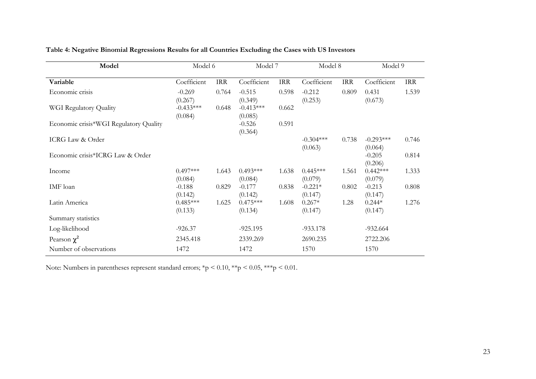| Model                                  | Model 6<br>Model 7     |            |                        |            | Model 8                |            | Model 9                |            |
|----------------------------------------|------------------------|------------|------------------------|------------|------------------------|------------|------------------------|------------|
| Variable                               | Coefficient            | <b>IRR</b> | Coefficient            | <b>IRR</b> | Coefficient            | <b>IRR</b> | Coefficient            | <b>IRR</b> |
| Economic crisis                        | $-0.269$<br>(0.267)    | 0.764      | $-0.515$<br>(0.349)    | 0.598      | $-0.212$<br>(0.253)    | 0.809      | 0.431<br>(0.673)       | 1.539      |
| WGI Regulatory Quality                 | $-0.433***$<br>(0.084) | 0.648      | $-0.413***$<br>(0.085) | 0.662      |                        |            |                        |            |
| Economic crisis*WGI Regulatory Quality |                        |            | $-0.526$<br>(0.364)    | 0.591      |                        |            |                        |            |
| <b>ICRG Law &amp; Order</b>            |                        |            |                        |            | $-0.304***$<br>(0.063) | 0.738      | $-0.293***$<br>(0.064) | 0.746      |
| Economic crisis*ICRG Law & Order       |                        |            |                        |            |                        |            | $-0.205$<br>(0.206)    | 0.814      |
| Income                                 | $0.497***$<br>(0.084)  | 1.643      | $0.493***$<br>(0.084)  | 1.638      | $0.445***$<br>(0.079)  | 1.561      | $0.442***$<br>(0.079)  | 1.333      |
| IMF loan                               | $-0.188$<br>(0.142)    | 0.829      | $-0.177$<br>(0.142)    | 0.838      | $-0.221*$<br>(0.147)   | 0.802      | $-0.213$<br>(0.147)    | 0.808      |
| Latin America                          | $0.485***$<br>(0.133)  | 1.625      | $0.475***$<br>(0.134)  | 1.608      | $0.267*$<br>(0.147)    | 1.28       | $0.244*$<br>(0.147)    | 1.276      |
| Summary statistics                     |                        |            |                        |            |                        |            |                        |            |
| Log-likelihood                         | $-926.37$              |            | $-925.195$             |            | $-933.178$             |            | $-932.664$             |            |
| Pearson $\chi^2$                       | 2345.418               |            | 2339.269               |            | 2690.235               |            | 2722.206               |            |
| Number of observations                 | 1472                   |            | 1472                   |            | 1570                   |            | 1570                   |            |

# **Table 4: Negative Binomial Regressions Results for all Countries Excluding the Cases with US Investors**

Note: Numbers in parentheses represent standard errors;  ${}^*\text{p}$  < 0.10,  ${}^{**}\text{p}$  < 0.05,  ${}^{***}\text{p}$  < 0.01.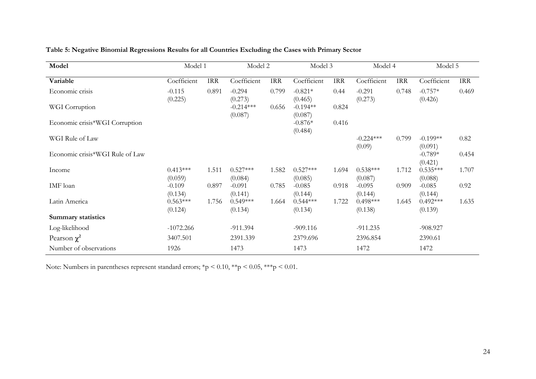| Model                           | Model 1               |            | Model 2                |            | Model 3               |            | Model 4               |            | Model 5               |            |
|---------------------------------|-----------------------|------------|------------------------|------------|-----------------------|------------|-----------------------|------------|-----------------------|------------|
| Variable                        | Coefficient           | <b>IRR</b> | Coefficient            | <b>IRR</b> | Coefficient           | <b>IRR</b> | Coefficient           | <b>IRR</b> | Coefficient           | <b>IRR</b> |
| Economic crisis                 | $-0.115$<br>(0.225)   | 0.891      | $-0.294$<br>(0.273)    | 0.799      | $-0.821*$<br>(0.465)  | 0.44       | $-0.291$<br>(0.273)   | 0.748      | $-0.757*$<br>(0.426)  | 0.469      |
| WGI Corruption                  |                       |            | $-0.214***$<br>(0.087) | 0.656      | $-0.194**$<br>(0.087) | 0.824      |                       |            |                       |            |
| Economic crisis*WGI Corruption  |                       |            |                        |            | $-0.876*$<br>(0.484)  | 0.416      |                       |            |                       |            |
| WGI Rule of Law                 |                       |            |                        |            |                       |            | $-0.224***$<br>(0.09) | 0.799      | $-0.199**$<br>(0.091) | 0.82       |
| Economic crisis*WGI Rule of Law |                       |            |                        |            |                       |            |                       |            | $-0.789*$<br>(0.421)  | 0.454      |
| Income                          | $0.413***$<br>(0.059) | 1.511      | $0.527***$<br>(0.084)  | 1.582      | $0.527***$<br>(0.085) | 1.694      | $0.538***$<br>(0.087) | 1.712      | $0.535***$<br>(0.088) | 1.707      |
| IMF loan                        | $-0.109$<br>(0.134)   | 0.897      | $-0.091$<br>(0.141)    | 0.785      | $-0.085$<br>(0.144)   | 0.918      | $-0.095$<br>(0.144)   | 0.909      | $-0.085$<br>(0.144)   | 0.92       |
| Latin America                   | $0.563***$<br>(0.124) | 1.756      | $0.549***$<br>(0.134)  | 1.664      | $0.544***$<br>(0.134) | 1.722      | $0.498***$<br>(0.138) | 1.645      | $0.492***$<br>(0.139) | 1.635      |
| <b>Summary statistics</b>       |                       |            |                        |            |                       |            |                       |            |                       |            |
| Log-likelihood                  | $-1072.266$           |            | $-911.394$             |            | $-909.116$            |            | $-911.235$            |            | $-908.927$            |            |
| Pearson $\chi^2$                | 3407.501              |            | 2391.339               |            | 2379.696              |            | 2396.854              |            | 2390.61               |            |
| Number of observations          | 1926                  |            | 1473                   |            | 1473                  |            | 1472                  |            | 1472                  |            |

## **Table 5: Negative Binomial Regressions Results for all Countries Excluding the Cases with Primary Sector**

Note: Numbers in parentheses represent standard errors; \*p < 0.10, \*\*p < 0.05, \*\*\*p < 0.01.